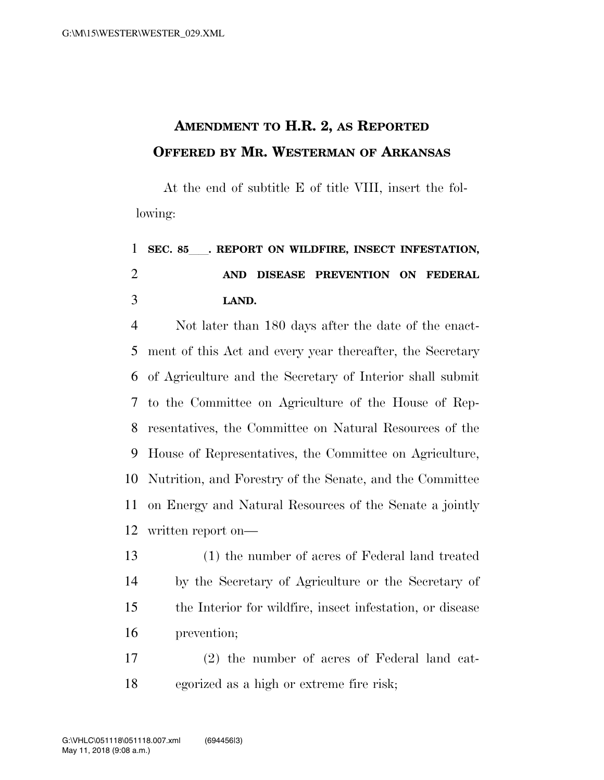## **AMENDMENT TO H.R. 2, AS REPORTED OFFERED BY MR. WESTERMAN OF ARKANSAS**

At the end of subtitle E of title VIII, insert the following:

## **SEC. 85**ll**. REPORT ON WILDFIRE, INSECT INFESTATION, AND DISEASE PREVENTION ON FEDERAL LAND.**

 Not later than 180 days after the date of the enact- ment of this Act and every year thereafter, the Secretary of Agriculture and the Secretary of Interior shall submit to the Committee on Agriculture of the House of Rep- resentatives, the Committee on Natural Resources of the House of Representatives, the Committee on Agriculture, Nutrition, and Forestry of the Senate, and the Committee on Energy and Natural Resources of the Senate a jointly written report on—

- (1) the number of acres of Federal land treated by the Secretary of Agriculture or the Secretary of the Interior for wildfire, insect infestation, or disease prevention;
- (2) the number of acres of Federal land cat-egorized as a high or extreme fire risk;